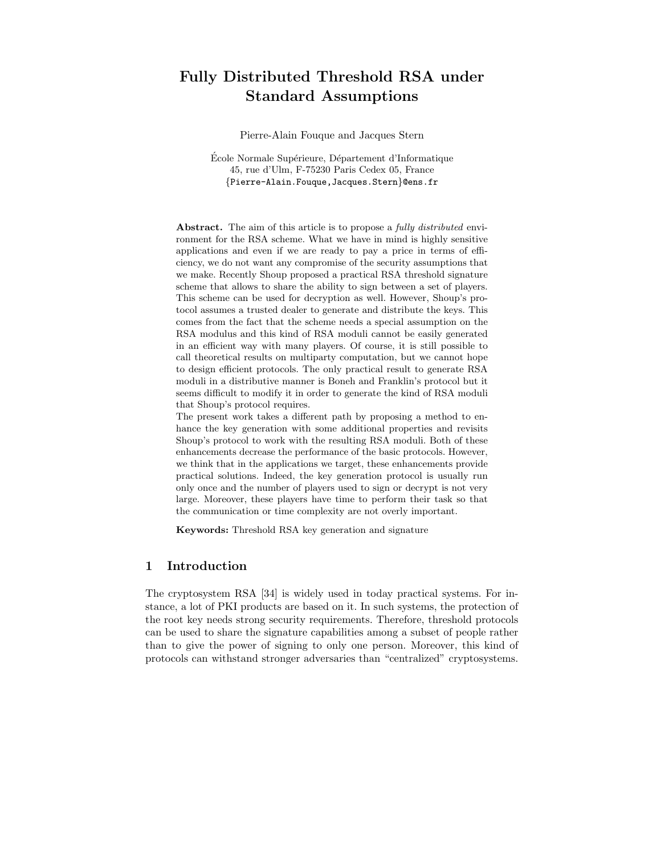# Fully Distributed Threshold RSA under Standard Assumptions

Pierre-Alain Fouque and Jacques Stern

École Normale Supérieure, Département d'Informatique 45, rue d'Ulm, F-75230 Paris Cedex 05, France {Pierre-Alain.Fouque,Jacques.Stern}@ens.fr

Abstract. The aim of this article is to propose a *fully distributed* environment for the RSA scheme. What we have in mind is highly sensitive applications and even if we are ready to pay a price in terms of efficiency, we do not want any compromise of the security assumptions that we make. Recently Shoup proposed a practical RSA threshold signature scheme that allows to share the ability to sign between a set of players. This scheme can be used for decryption as well. However, Shoup's protocol assumes a trusted dealer to generate and distribute the keys. This comes from the fact that the scheme needs a special assumption on the RSA modulus and this kind of RSA moduli cannot be easily generated in an efficient way with many players. Of course, it is still possible to call theoretical results on multiparty computation, but we cannot hope to design efficient protocols. The only practical result to generate RSA moduli in a distributive manner is Boneh and Franklin's protocol but it seems difficult to modify it in order to generate the kind of RSA moduli that Shoup's protocol requires.

The present work takes a different path by proposing a method to enhance the key generation with some additional properties and revisits Shoup's protocol to work with the resulting RSA moduli. Both of these enhancements decrease the performance of the basic protocols. However, we think that in the applications we target, these enhancements provide practical solutions. Indeed, the key generation protocol is usually run only once and the number of players used to sign or decrypt is not very large. Moreover, these players have time to perform their task so that the communication or time complexity are not overly important.

Keywords: Threshold RSA key generation and signature

# 1 Introduction

The cryptosystem RSA [34] is widely used in today practical systems. For instance, a lot of PKI products are based on it. In such systems, the protection of the root key needs strong security requirements. Therefore, threshold protocols can be used to share the signature capabilities among a subset of people rather than to give the power of signing to only one person. Moreover, this kind of protocols can withstand stronger adversaries than "centralized" cryptosystems.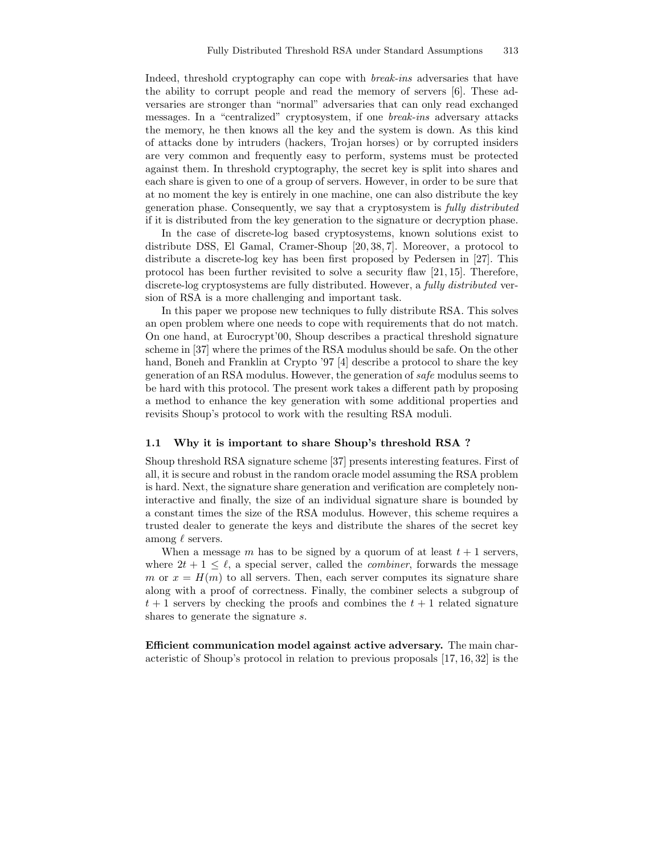Indeed, threshold cryptography can cope with break-ins adversaries that have the ability to corrupt people and read the memory of servers [6]. These adversaries are stronger than "normal" adversaries that can only read exchanged messages. In a "centralized" cryptosystem, if one break-ins adversary attacks the memory, he then knows all the key and the system is down. As this kind of attacks done by intruders (hackers, Trojan horses) or by corrupted insiders are very common and frequently easy to perform, systems must be protected against them. In threshold cryptography, the secret key is split into shares and each share is given to one of a group of servers. However, in order to be sure that at no moment the key is entirely in one machine, one can also distribute the key generation phase. Consequently, we say that a cryptosystem is fully distributed if it is distributed from the key generation to the signature or decryption phase.

In the case of discrete-log based cryptosystems, known solutions exist to distribute DSS, El Gamal, Cramer-Shoup [20, 38, 7]. Moreover, a protocol to distribute a discrete-log key has been first proposed by Pedersen in [27]. This protocol has been further revisited to solve a security flaw [21, 15]. Therefore, discrete-log cryptosystems are fully distributed. However, a fully distributed version of RSA is a more challenging and important task.

In this paper we propose new techniques to fully distribute RSA. This solves an open problem where one needs to cope with requirements that do not match. On one hand, at Eurocrypt'00, Shoup describes a practical threshold signature scheme in [37] where the primes of the RSA modulus should be safe. On the other hand, Boneh and Franklin at Crypto '97 [4] describe a protocol to share the key generation of an RSA modulus. However, the generation of safe modulus seems to be hard with this protocol. The present work takes a different path by proposing a method to enhance the key generation with some additional properties and revisits Shoup's protocol to work with the resulting RSA moduli.

#### 1.1 Why it is important to share Shoup's threshold RSA ?

Shoup threshold RSA signature scheme [37] presents interesting features. First of all, it is secure and robust in the random oracle model assuming the RSA problem is hard. Next, the signature share generation and verification are completely noninteractive and finally, the size of an individual signature share is bounded by a constant times the size of the RSA modulus. However, this scheme requires a trusted dealer to generate the keys and distribute the shares of the secret key among  $\ell$  servers.

When a message m has to be signed by a quorum of at least  $t + 1$  servers, where  $2t + 1 \leq \ell$ , a special server, called the *combiner*, forwards the message m or  $x = H(m)$  to all servers. Then, each server computes its signature share along with a proof of correctness. Finally, the combiner selects a subgroup of  $t + 1$  servers by checking the proofs and combines the  $t + 1$  related signature shares to generate the signature s.

Efficient communication model against active adversary. The main characteristic of Shoup's protocol in relation to previous proposals [17, 16, 32] is the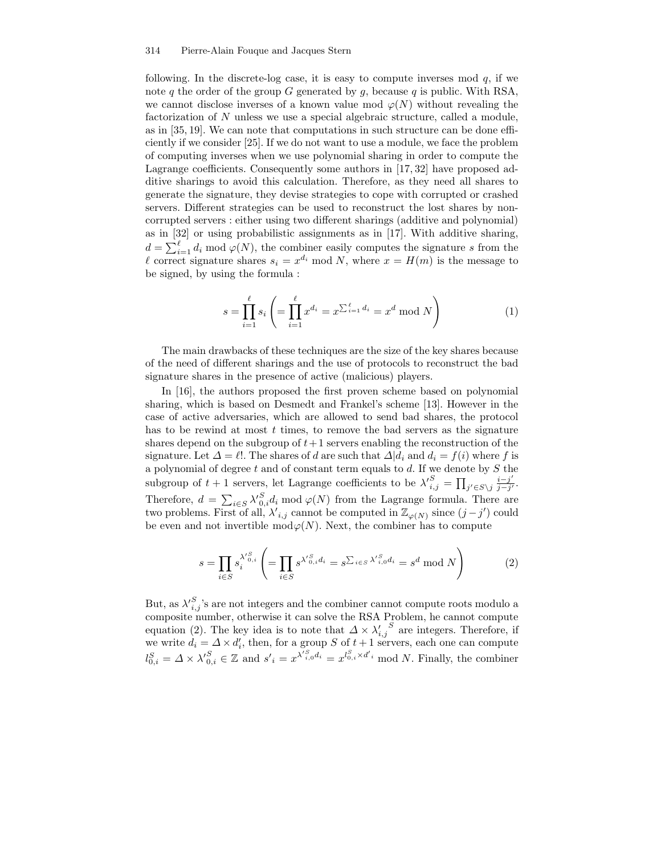following. In the discrete-log case, it is easy to compute inverses mod  $q$ , if we note q the order of the group G generated by q, because q is public. With RSA, we cannot disclose inverses of a known value mod  $\varphi(N)$  without revealing the factorization of N unless we use a special algebraic structure, called a module, as in [35, 19]. We can note that computations in such structure can be done efficiently if we consider [25]. If we do not want to use a module, we face the problem of computing inverses when we use polynomial sharing in order to compute the Lagrange coefficients. Consequently some authors in [17, 32] have proposed additive sharings to avoid this calculation. Therefore, as they need all shares to generate the signature, they devise strategies to cope with corrupted or crashed servers. Different strategies can be used to reconstruct the lost shares by noncorrupted servers : either using two different sharings (additive and polynomial) as in [32] or using probabilistic assignments as in [17]. With additive sharing,  $d = \sum_{i=1}^{\ell} d_i \mod \varphi(N)$ , the combiner easily computes the signature s from the l correct signature shares  $s_i = x^{d_i} \mod N$ , where  $x = H(m)$  is the message to be signed, by using the formula :

$$
s = \prod_{i=1}^{\ell} s_i \left( = \prod_{i=1}^{\ell} x^{d_i} = x^{\sum_{i=1}^{\ell} d_i} = x^d \bmod N \right) \tag{1}
$$

The main drawbacks of these techniques are the size of the key shares because of the need of different sharings and the use of protocols to reconstruct the bad signature shares in the presence of active (malicious) players.

In [16], the authors proposed the first proven scheme based on polynomial sharing, which is based on Desmedt and Frankel's scheme [13]. However in the case of active adversaries, which are allowed to send bad shares, the protocol has to be rewind at most  $t$  times, to remove the bad servers as the signature shares depend on the subgroup of  $t+1$  servers enabling the reconstruction of the signature. Let  $\Delta = \ell!$ . The shares of d are such that  $\Delta | d_i$  and  $d_i = f(i)$  where f is a polynomial of degree  $t$  and of constant term equals to  $d$ . If we denote by  $S$  the subgroup of  $t + 1$  servers, let Lagrange coefficients to be  $\lambda'^{S}_{i,j} = \prod_{j' \in S \setminus j} \frac{i-j'}{j-j'}$  $\frac{i-j}{j-j'}$ . Therefore,  $d = \sum_{i \in S} \lambda_{0,i}^S d_i \mod \varphi(N)$  from the Lagrange formula. There are two problems. First of all,  $\lambda'_{i,j}$  cannot be computed in  $\mathbb{Z}_{\varphi(N)}$  since  $(j-j')$  could be even and not invertible  $\text{mod}\varphi(N)$ . Next, the combiner has to compute

$$
s = \prod_{i \in S} s_i^{\lambda'_{0,i}^S} \left( = \prod_{i \in S} s^{\lambda'_{0,i}^S d_i} = s^{\sum_{i \in S} \lambda'_{i,0}^S d_i} = s^d \mod N \right)
$$
 (2)

But, as  $\lambda'_{i,j}^S$ 's are not integers and the combiner cannot compute roots modulo a composite number, otherwise it can solve the RSA Problem, he cannot compute equation (2). The key idea is to note that  $\Delta \times \lambda'_{i,j}^S$  are integers. Therefore, if we write  $d_i = \Delta \times d'_i$ , then, for a group S of  $t + 1$  servers, each one can compute  $l_{0,i}^S = \Delta \times \lambda'_{0,i}^S \in \mathbb{Z}$  and  $s'_{i} = x^{\lambda'^{S}_{i,0}d_{i}} = x^{l_{0,i}^S \times d'_{i}}$  mod N. Finally, the combiner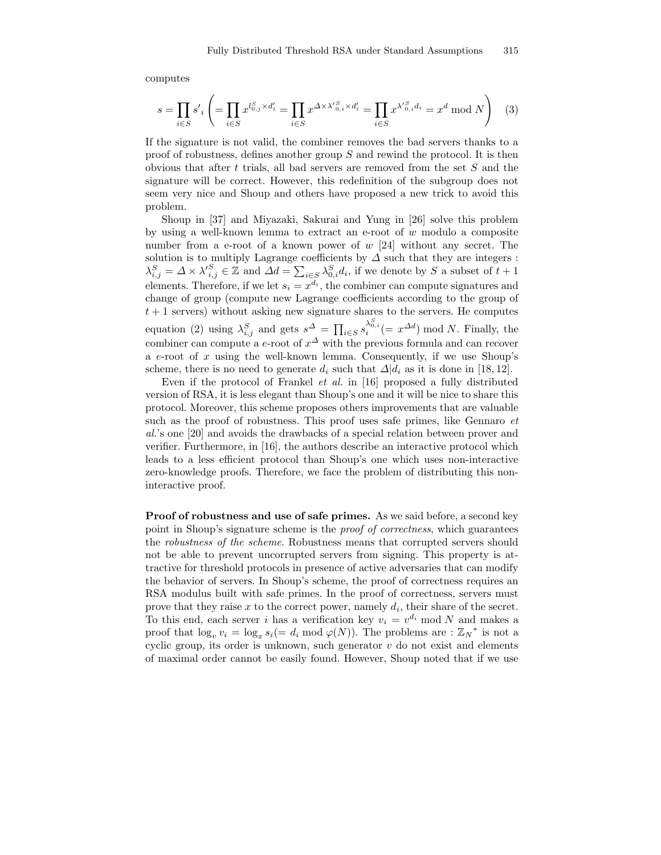computes

$$
s = \prod_{i \in S} s'_i \left( = \prod_{i \in S} x^{l_{0,j}^S \times d'_i} = \prod_{i \in S} x^{\Delta \times \lambda'_{0,i}^S \times d'_i} = \prod_{i \in S} x^{\lambda'_{0,i}^S d_i} = x^d \bmod N \right) \tag{3}
$$

If the signature is not valid, the combiner removes the bad servers thanks to a proof of robustness, defines another group  $S$  and rewind the protocol. It is then obvious that after t trials, all bad servers are removed from the set  $S$  and the signature will be correct. However, this redefinition of the subgroup does not seem very nice and Shoup and others have proposed a new trick to avoid this problem.

Shoup in [37] and Miyazaki, Sakurai and Yung in [26] solve this problem by using a well-known lemma to extract an e-root of w modulo a composite number from a e-root of a known power of w [24] without any secret. The solution is to multiply Lagrange coefficients by  $\Delta$  such that they are integers :  $\lambda_{i,j}^S = \Delta \times \lambda_{i,j}^S \in \mathbb{Z}$  and  $\Delta d = \sum_{i \in S} \lambda_{0,i}^S d_i$ , if we denote by S a subset of  $t+1$ elements. Therefore, if we let  $s_i = x^{d_i}$ , the combiner can compute signatures and change of group (compute new Lagrange coefficients according to the group of  $t + 1$  servers) without asking new signature shares to the servers. He computes equation (2) using  $\lambda_{i,j}^S$  and gets  $s^{\Delta} = \prod_{i \in S} s_i^{ \lambda_{0,i}^S} (= x^{\Delta d}) \mod N$ . Finally, the combiner can compute a e-root of  $x^{\Delta}$  with the previous formula and can recover a  $e$ -root of  $x$  using the well-known lemma. Consequently, if we use Shoup's scheme, there is no need to generate  $d_i$  such that  $\Delta | d_i$  as it is done in [18, 12].

Even if the protocol of Frankel et al. in [16] proposed a fully distributed version of RSA, it is less elegant than Shoup's one and it will be nice to share this protocol. Moreover, this scheme proposes others improvements that are valuable such as the proof of robustness. This proof uses safe primes, like Gennaro et al.'s one [20] and avoids the drawbacks of a special relation between prover and verifier. Furthermore, in [16], the authors describe an interactive protocol which leads to a less efficient protocol than Shoup's one which uses non-interactive zero-knowledge proofs. Therefore, we face the problem of distributing this noninteractive proof.

Proof of robustness and use of safe primes. As we said before, a second key point in Shoup's signature scheme is the proof of correctness, which guarantees the robustness of the scheme. Robustness means that corrupted servers should not be able to prevent uncorrupted servers from signing. This property is attractive for threshold protocols in presence of active adversaries that can modify the behavior of servers. In Shoup's scheme, the proof of correctness requires an RSA modulus built with safe primes. In the proof of correctness, servers must prove that they raise  $x$  to the correct power, namely  $d_i$ , their share of the secret. To this end, each server i has a verification key  $v_i = v^{d_i} \mod N$  and makes a proof that  $\log_v v_i = \log_x s_i (= d_i \mod \varphi(N))$ . The problems are :  $\mathbb{Z}_N^*$  is not a cyclic group, its order is unknown, such generator  $v$  do not exist and elements of maximal order cannot be easily found. However, Shoup noted that if we use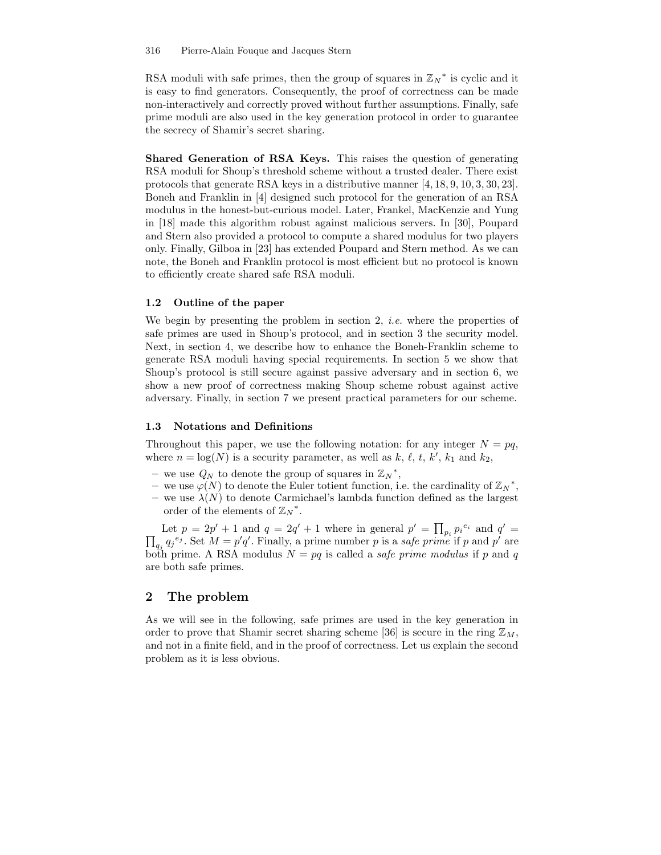RSA moduli with safe primes, then the group of squares in  $\mathbb{Z}_N^*$  is cyclic and it is easy to find generators. Consequently, the proof of correctness can be made non-interactively and correctly proved without further assumptions. Finally, safe prime moduli are also used in the key generation protocol in order to guarantee the secrecy of Shamir's secret sharing.

Shared Generation of RSA Keys. This raises the question of generating RSA moduli for Shoup's threshold scheme without a trusted dealer. There exist protocols that generate RSA keys in a distributive manner [4, 18, 9, 10, 3, 30, 23]. Boneh and Franklin in [4] designed such protocol for the generation of an RSA modulus in the honest-but-curious model. Later, Frankel, MacKenzie and Yung in [18] made this algorithm robust against malicious servers. In [30], Poupard and Stern also provided a protocol to compute a shared modulus for two players only. Finally, Gilboa in [23] has extended Poupard and Stern method. As we can note, the Boneh and Franklin protocol is most efficient but no protocol is known to efficiently create shared safe RSA moduli.

## 1.2 Outline of the paper

We begin by presenting the problem in section 2, *i.e.* where the properties of safe primes are used in Shoup's protocol, and in section 3 the security model. Next, in section 4, we describe how to enhance the Boneh-Franklin scheme to generate RSA moduli having special requirements. In section 5 we show that Shoup's protocol is still secure against passive adversary and in section 6, we show a new proof of correctness making Shoup scheme robust against active adversary. Finally, in section 7 we present practical parameters for our scheme.

#### 1.3 Notations and Definitions

Throughout this paper, we use the following notation: for any integer  $N = pq$ , where  $n = \log(N)$  is a security parameter, as well as k, l, t, k', k<sub>1</sub> and k<sub>2</sub>,

- we use  $Q_N$  to denote the group of squares in  $\mathbb{Z}_N^*$ ,
- $-$  we use  $\varphi(N)$  to denote the Euler totient function, i.e. the cardinality of  $\mathbb{Z}_N^*$ ,
- we use  $\lambda(N)$  to denote Carmichael's lambda function defined as the largest order of the elements of  $\mathbb{Z}_N^*$ .

Let  $p = 2p' + 1$  and  $q = 2q' + 1$  where in general  $p' = \prod_{p_i} p_i^{e_i}$  and q  $\Pi$  $\prime$  =  $q_j q_j e_j$ . Set  $M = p'q'$ . Finally, a prime number p is a safe prime if p and p' are both prime. A RSA modulus  $N = pq$  is called a *safe prime modulus* if p and q are both safe primes.

# 2 The problem

As we will see in the following, safe primes are used in the key generation in order to prove that Shamir secret sharing scheme [36] is secure in the ring  $\mathbb{Z}_M$ . and not in a finite field, and in the proof of correctness. Let us explain the second problem as it is less obvious.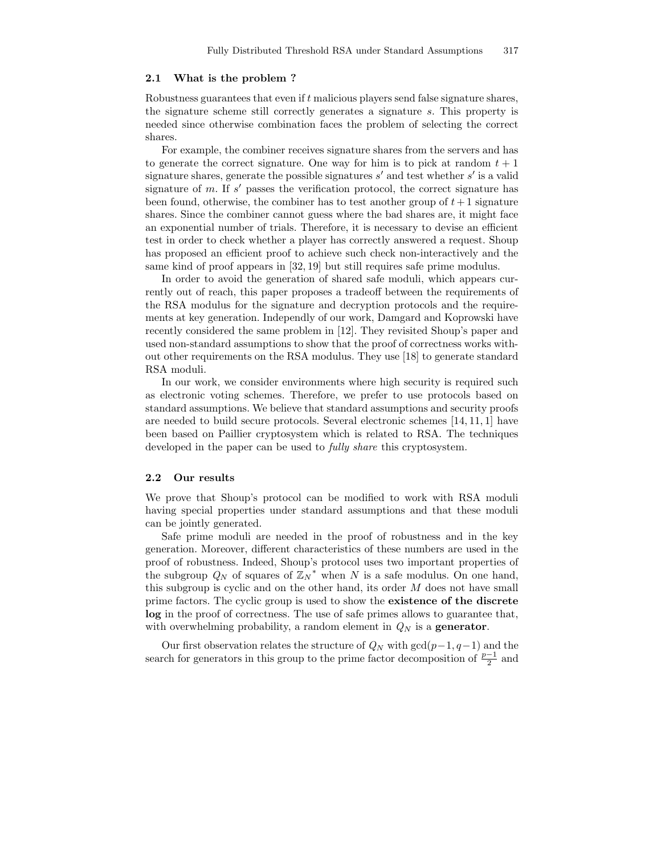#### 2.1 What is the problem ?

Robustness guarantees that even if t malicious players send false signature shares, the signature scheme still correctly generates a signature s. This property is needed since otherwise combination faces the problem of selecting the correct shares.

For example, the combiner receives signature shares from the servers and has to generate the correct signature. One way for him is to pick at random  $t + 1$ signature shares, generate the possible signatures  $s'$  and test whether  $s'$  is a valid signature of m. If  $s'$  passes the verification protocol, the correct signature has been found, otherwise, the combiner has to test another group of  $t + 1$  signature shares. Since the combiner cannot guess where the bad shares are, it might face an exponential number of trials. Therefore, it is necessary to devise an efficient test in order to check whether a player has correctly answered a request. Shoup has proposed an efficient proof to achieve such check non-interactively and the same kind of proof appears in [32, 19] but still requires safe prime modulus.

In order to avoid the generation of shared safe moduli, which appears currently out of reach, this paper proposes a tradeoff between the requirements of the RSA modulus for the signature and decryption protocols and the requirements at key generation. Independly of our work, Damgard and Koprowski have recently considered the same problem in [12]. They revisited Shoup's paper and used non-standard assumptions to show that the proof of correctness works without other requirements on the RSA modulus. They use [18] to generate standard RSA moduli.

In our work, we consider environments where high security is required such as electronic voting schemes. Therefore, we prefer to use protocols based on standard assumptions. We believe that standard assumptions and security proofs are needed to build secure protocols. Several electronic schemes [14, 11, 1] have been based on Paillier cryptosystem which is related to RSA. The techniques developed in the paper can be used to *fully share* this cryptosystem.

#### 2.2 Our results

We prove that Shoup's protocol can be modified to work with RSA moduli having special properties under standard assumptions and that these moduli can be jointly generated.

Safe prime moduli are needed in the proof of robustness and in the key generation. Moreover, different characteristics of these numbers are used in the proof of robustness. Indeed, Shoup's protocol uses two important properties of the subgroup  $Q_N$  of squares of  $\mathbb{Z}_N^*$  when N is a safe modulus. On one hand, this subgroup is cyclic and on the other hand, its order  $M$  does not have small prime factors. The cyclic group is used to show the existence of the discrete log in the proof of correctness. The use of safe primes allows to guarantee that, with overwhelming probability, a random element in  $Q_N$  is a **generator**.

Our first observation relates the structure of  $Q_N$  with  $gcd(p-1, q-1)$  and the search for generators in this group to the prime factor decomposition of  $\frac{p-1}{2}$  and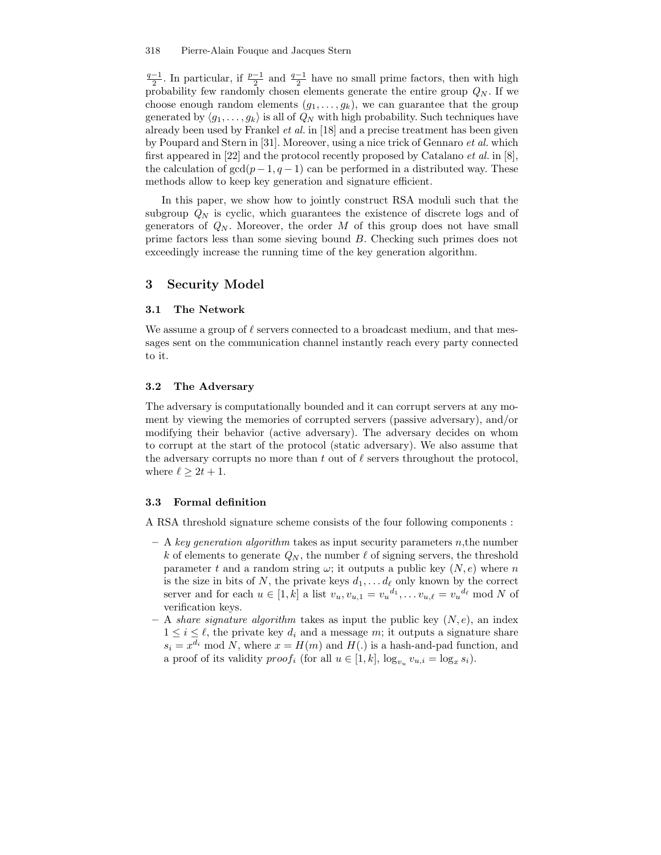$\frac{q-1}{2}$ . In particular, if  $\frac{p-1}{2}$  and  $\frac{q-1}{2}$  have no small prime factors, then with high probability few randomly chosen elements generate the entire group  $Q_N$ . If we choose enough random elements  $(g_1, \ldots, g_k)$ , we can guarantee that the group generated by  $\langle g_1, \ldots, g_k \rangle$  is all of  $Q_N$  with high probability. Such techniques have already been used by Frankel et al. in [18] and a precise treatment has been given by Poupard and Stern in [31]. Moreover, using a nice trick of Gennaro et al. which first appeared in [22] and the protocol recently proposed by Catalano *et al.* in [8], the calculation of  $gcd(p-1, q-1)$  can be performed in a distributed way. These methods allow to keep key generation and signature efficient.

In this paper, we show how to jointly construct RSA moduli such that the subgroup  $Q_N$  is cyclic, which guarantees the existence of discrete logs and of generators of  $Q_N$ . Moreover, the order M of this group does not have small prime factors less than some sieving bound B. Checking such primes does not exceedingly increase the running time of the key generation algorithm.

# 3 Security Model

# 3.1 The Network

We assume a group of  $\ell$  servers connected to a broadcast medium, and that messages sent on the communication channel instantly reach every party connected to it.

#### 3.2 The Adversary

The adversary is computationally bounded and it can corrupt servers at any moment by viewing the memories of corrupted servers (passive adversary), and/or modifying their behavior (active adversary). The adversary decides on whom to corrupt at the start of the protocol (static adversary). We also assume that the adversary corrupts no more than t out of  $\ell$  servers throughout the protocol, where  $\ell \geq 2t + 1$ .

#### 3.3 Formal definition

A RSA threshold signature scheme consists of the four following components :

- $A key generation algorithm takes as input security parameters n, the number$ k of elements to generate  $Q_N$ , the number  $\ell$  of signing servers, the threshold parameter t and a random string  $\omega$ ; it outputs a public key  $(N, e)$  where n is the size in bits of N, the private keys  $d_1, \ldots, d_\ell$  only known by the correct server and for each  $u \in [1, k]$  a list  $v_u, v_{u,1} = v_u^{d_1}, \dots v_{u,\ell} = v_u^{d_\ell} \mod N$  of verification keys.
- A share signature algorithm takes as input the public key  $(N, e)$ , an index  $1 \leq i \leq \ell$ , the private key  $d_i$  and a message m; it outputs a signature share  $s_i = x^{d_i} \mod N$ , where  $x = H(m)$  and  $H(.)$  is a hash-and-pad function, and a proof of its validity  $proof_i$  (for all  $u \in [1, k]$ ,  $log_{v_u} v_{u,i} = log_x s_i$ ).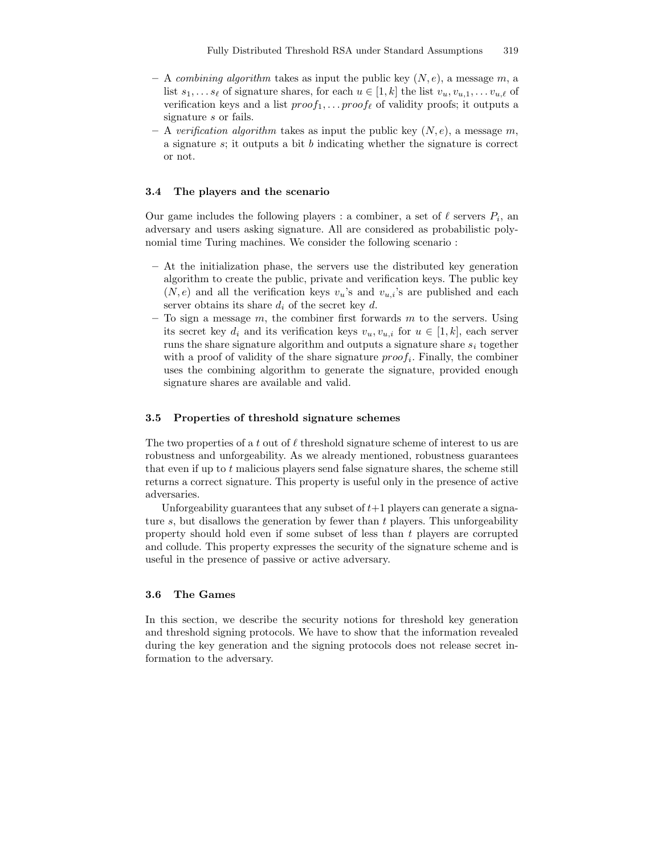- A combining algorithm takes as input the public key  $(N, e)$ , a message m, a list  $s_1, \ldots s_\ell$  of signature shares, for each  $u \in [1, k]$  the list  $v_u, v_{u,1}, \ldots v_{u,\ell}$  of verification keys and a list  $proof_1, \ldots proof_\ell$  of validity proofs; it outputs a signature s or fails.
- A verification algorithm takes as input the public key  $(N, e)$ , a message m, a signature  $s$ ; it outputs a bit  $b$  indicating whether the signature is correct or not.

#### 3.4 The players and the scenario

Our game includes the following players : a combiner, a set of  $\ell$  servers  $P_i$ , an adversary and users asking signature. All are considered as probabilistic polynomial time Turing machines. We consider the following scenario :

- At the initialization phase, the servers use the distributed key generation algorithm to create the public, private and verification keys. The public key  $(N, e)$  and all the verification keys  $v_u$ 's and  $v_u$ <sup>'</sup>s are published and each server obtains its share  $d_i$  of the secret key d.
- To sign a message  $m$ , the combiner first forwards  $m$  to the servers. Using its secret key  $d_i$  and its verification keys  $v_u, v_{u,i}$  for  $u \in [1, k]$ , each server runs the share signature algorithm and outputs a signature share  $s_i$  together with a proof of validity of the share signature  $proof<sub>i</sub>$ . Finally, the combiner uses the combining algorithm to generate the signature, provided enough signature shares are available and valid.

#### 3.5 Properties of threshold signature schemes

The two properties of a t out of  $\ell$  threshold signature scheme of interest to us are robustness and unforgeability. As we already mentioned, robustness guarantees that even if up to  $t$  malicious players send false signature shares, the scheme still returns a correct signature. This property is useful only in the presence of active adversaries.

Unforgeability guarantees that any subset of  $t+1$  players can generate a signature  $s$ , but disallows the generation by fewer than  $t$  players. This unforgeability property should hold even if some subset of less than  $t$  players are corrupted and collude. This property expresses the security of the signature scheme and is useful in the presence of passive or active adversary.

#### 3.6 The Games

In this section, we describe the security notions for threshold key generation and threshold signing protocols. We have to show that the information revealed during the key generation and the signing protocols does not release secret information to the adversary.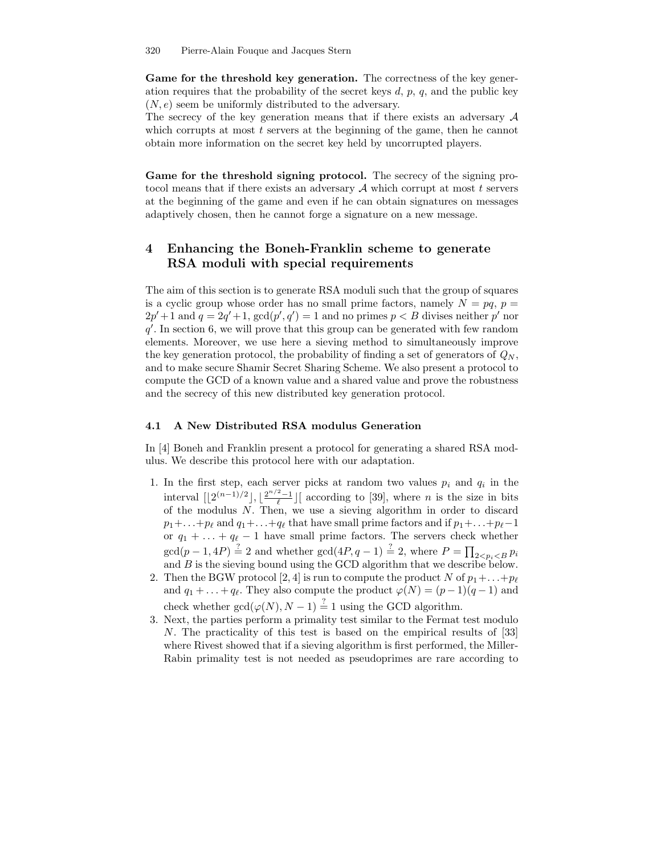Game for the threshold key generation. The correctness of the key generation requires that the probability of the secret keys  $d, p, q$ , and the public key  $(N, e)$  seem be uniformly distributed to the adversary.

The secrecy of the key generation means that if there exists an adversary  $A$ which corrupts at most t servers at the beginning of the game, then he cannot obtain more information on the secret key held by uncorrupted players.

Game for the threshold signing protocol. The secrecy of the signing protocol means that if there exists an adversary  $A$  which corrupt at most  $t$  servers at the beginning of the game and even if he can obtain signatures on messages adaptively chosen, then he cannot forge a signature on a new message.

# 4 Enhancing the Boneh-Franklin scheme to generate RSA moduli with special requirements

The aim of this section is to generate RSA moduli such that the group of squares is a cyclic group whose order has no small prime factors, namely  $N = pq, p =$  $2p'+1$  and  $q = 2q'+1$ ,  $gcd(p', q') = 1$  and no primes  $p < B$  divises neither p' nor  $q'$ . In section 6, we will prove that this group can be generated with few random elements. Moreover, we use here a sieving method to simultaneously improve the key generation protocol, the probability of finding a set of generators of  $Q_N$ , and to make secure Shamir Secret Sharing Scheme. We also present a protocol to compute the GCD of a known value and a shared value and prove the robustness and the secrecy of this new distributed key generation protocol.

#### 4.1 A New Distributed RSA modulus Generation

In [4] Boneh and Franklin present a protocol for generating a shared RSA modulus. We describe this protocol here with our adaptation.

- 1. In the first step, each server picks at random two values  $p_i$  and  $q_i$  in the interval  $\lfloor 2^{(n-1)/2} \rfloor, \lfloor \frac{2^{n/2}-1}{\ell} \rfloor$  according to [39], where *n* is the size in bits of the modulus N. Then, we use a sieving algorithm in order to discard  $p_1+\ldots+p_\ell$  and  $q_1+\ldots+q_\ell$  that have small prime factors and if  $p_1+\ldots+p_\ell-1$ or  $q_1 + \ldots + q_\ell - 1$  have small prime factors. The servers check whether  $\gcd(p-1, 4P) \stackrel{?}{=} 2$  and whether  $\gcd(4P, q-1) \stackrel{?}{=} 2$ , where  $P = \prod_{2 < p_i < B} p_i$ and  $B$  is the sieving bound using the GCD algorithm that we describe below.
- 2. Then the BGW protocol [2, 4] is run to compute the product N of  $p_1 + \ldots + p_\ell$ and  $q_1 + \ldots + q_\ell$ . They also compute the product  $\varphi(N) = (p-1)(q-1)$  and check whether  $gcd(\varphi(N), N-1) \stackrel{?}{=} 1$  using the GCD algorithm.
- 3. Next, the parties perform a primality test similar to the Fermat test modulo N. The practicality of this test is based on the empirical results of [33] where Rivest showed that if a sieving algorithm is first performed, the Miller-Rabin primality test is not needed as pseudoprimes are rare according to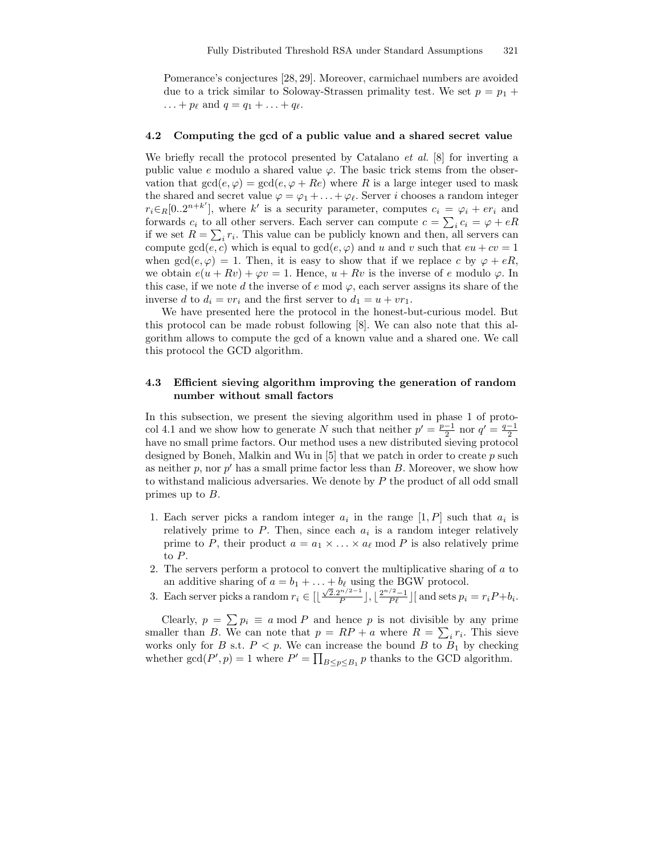Pomerance's conjectures [28, 29]. Moreover, carmichael numbers are avoided due to a trick similar to Soloway-Strassen primality test. We set  $p = p_1 +$ ... +  $p_{\ell}$  and  $q = q_1 + ... + q_{\ell}$ .

#### 4.2 Computing the gcd of a public value and a shared secret value

We briefly recall the protocol presented by Catalano *et al.* [8] for inverting a public value e modulo a shared value  $\varphi$ . The basic trick stems from the observation that  $gcd(e, \varphi) = gcd(e, \varphi + Re)$  where R is a large integer used to mask the shared and secret value  $\varphi = \varphi_1 + \ldots + \varphi_\ell$ . Server i chooses a random integer  $r_i \in_R [0..2^{n+k'}],$  where k' is a security parameter, computes  $c_i = \varphi_i + er_i$  and forwards  $c_i$  to all other servers. Each server can compute  $c = \sum_i c_i = \varphi + eR$ if we set  $R = \sum_i r_i$ . This value can be publicly known and then, all servers can compute  $gcd(e, c)$  which is equal to  $gcd(e, \varphi)$  and u and v such that  $eu + cv = 1$ when  $gcd(e, \varphi) = 1$ . Then, it is easy to show that if we replace c by  $\varphi + eR$ , we obtain  $e(u + Rv) + \varphi v = 1$ . Hence,  $u + Rv$  is the inverse of e modulo  $\varphi$ . In this case, if we note d the inverse of  $e \mod \varphi$ , each server assigns its share of the inverse d to  $d_i = v r_i$  and the first server to  $d_1 = u + v r_1$ .

We have presented here the protocol in the honest-but-curious model. But this protocol can be made robust following [8]. We can also note that this algorithm allows to compute the gcd of a known value and a shared one. We call this protocol the GCD algorithm.

# 4.3 Efficient sieving algorithm improving the generation of random number without small factors

In this subsection, we present the sieving algorithm used in phase 1 of protocol 4.1 and we show how to generate N such that neither  $p' = \frac{p-1}{2}$  nor  $q' = \frac{q-1}{2}$ have no small prime factors. Our method uses a new distributed sieving protocol designed by Boneh, Malkin and Wu in  $[5]$  that we patch in order to create p such as neither  $p$ , nor  $p'$  has a small prime factor less than  $B$ . Moreover, we show how to withstand malicious adversaries. We denote by P the product of all odd small primes up to  $B$ .

- 1. Each server picks a random integer  $a_i$  in the range  $[1, P]$  such that  $a_i$  is relatively prime to  $P$ . Then, since each  $a_i$  is a random integer relatively prime to P, their product  $a = a_1 \times \ldots \times a_\ell$  mod P is also relatively prime to P.
- 2. The servers perform a protocol to convert the multiplicative sharing of a to an additive sharing of  $a = b_1 + \ldots + b_\ell$  using the BGW protocol.
- 3. Each server picks a random  $r_i \in \left[\left\lfloor \frac{\sqrt{2} \cdot 2^{n/2-1}}{P} \right\rfloor\right]$  $\frac{p^{n/2-1}}{P}$ ,  $\left[\frac{2^{n/2}-1}{P\ell}\right]$  and sets  $p_i = r_i P + b_i$ .

Clearly,  $p = \sum p_i \equiv a \mod P$  and hence p is not divisible by any prime smaller than B. We can note that  $p = RP + a$  where  $R = \sum_i r_i$ . This sieve works only for B s.t.  $P < p$ . We can increase the bound B to  $B_1$  by checking whether  $gcd(P', p) = 1$  where  $P' = \prod_{B \le p \le B_1} p$  thanks to the GCD algorithm.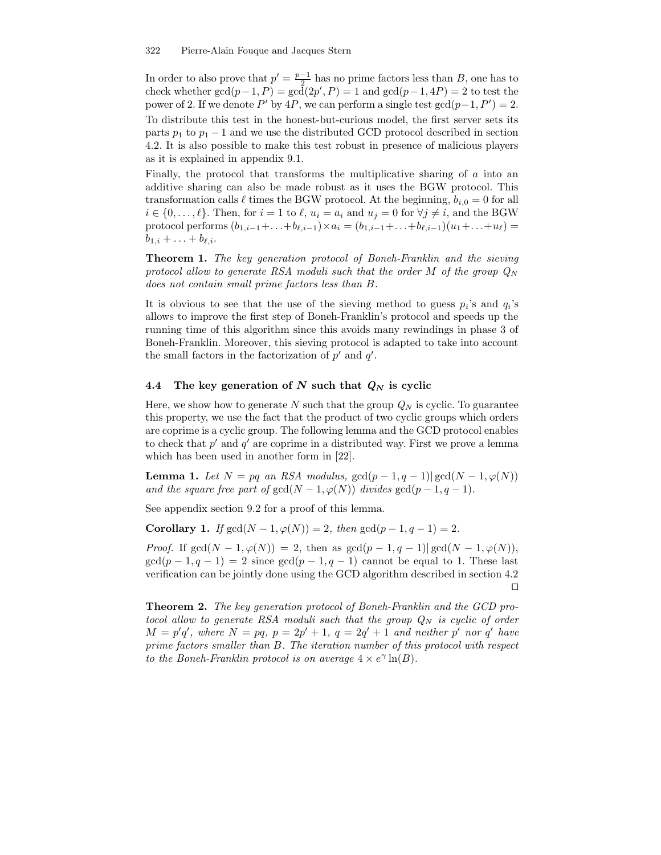In order to also prove that  $p' = \frac{p-1}{2}$  has no prime factors less than B, one has to th order to also prove that  $p = \frac{2}{2}$  has no prime factors ress than  $D$ , one has to check whether  $gcd(p-1, P) = gcd(2p', P) = 1$  and  $gcd(p-1, 4P) = 2$  to test the power of 2. If we denote P' by  $4P$ , we can perform a single test  $gcd(p-1, P') = 2$ . To distribute this test in the honest-but-curious model, the first server sets its parts  $p_1$  to  $p_1 - 1$  and we use the distributed GCD protocol described in section 4.2. It is also possible to make this test robust in presence of malicious players as it is explained in appendix 9.1.

Finally, the protocol that transforms the multiplicative sharing of  $\alpha$  into an additive sharing can also be made robust as it uses the BGW protocol. This transformation calls  $\ell$  times the BGW protocol. At the beginning,  $b_{i,0} = 0$  for all  $i \in \{0, \ldots, \ell\}$ . Then, for  $i = 1$  to  $\ell, u_i = a_i$  and  $u_j = 0$  for  $\forall j \neq i$ , and the BGW protocol performs  $(b_{1,i-1}+\ldots+b_{\ell,i-1})\times a_i = (b_{1,i-1}+\ldots+b_{\ell,i-1})(u_1+\ldots+u_\ell) =$  $b_{1,i} + \ldots + b_{\ell,i}.$ 

Theorem 1. The key generation protocol of Boneh-Franklin and the sieving protocol allow to generate RSA moduli such that the order M of the group  $Q_N$ does not contain small prime factors less than B.

It is obvious to see that the use of the sieving method to guess  $p_i$ 's and  $q_i$ 's allows to improve the first step of Boneh-Franklin's protocol and speeds up the running time of this algorithm since this avoids many rewindings in phase 3 of Boneh-Franklin. Moreover, this sieving protocol is adapted to take into account the small factors in the factorization of  $p'$  and  $q'$ .

#### 4.4 The key generation of N such that  $Q_N$  is cyclic

Here, we show how to generate N such that the group  $Q_N$  is cyclic. To guarantee this property, we use the fact that the product of two cyclic groups which orders are coprime is a cyclic group. The following lemma and the GCD protocol enables to check that  $p'$  and  $q'$  are coprime in a distributed way. First we prove a lemma which has been used in another form in [22].

Lemma 1. Let  $N = pq$  an RSA modulus,  $gcd(p-1, q-1)| gcd(N-1, \varphi(N))$ and the square free part of  $gcd(N - 1, \varphi(N))$  divides  $gcd(p - 1, q - 1)$ .

See appendix section 9.2 for a proof of this lemma.

Corollary 1. If  $gcd(N - 1, \varphi(N)) = 2$ , then  $gcd(p - 1, q - 1) = 2$ .

*Proof.* If  $gcd(N-1, \varphi(N)) = 2$ , then as  $gcd(p-1, q-1)| gcd(N-1, \varphi(N)),$  $\gcd(p-1, q-1) = 2$  since  $\gcd(p-1, q-1)$  cannot be equal to 1. These last verification can be jointly done using the GCD algorithm described in section 4.2  $\Box$ 

Theorem 2. The key generation protocol of Boneh-Franklin and the GCD protocol allow to generate RSA moduli such that the group  $Q_N$  is cyclic of order  $M = p'q'$ , where  $N = pq$ ,  $p = 2p' + 1$ ,  $q = 2q' + 1$  and neither  $p'$  nor  $q'$  have prime factors smaller than B. The iteration number of this protocol with respect to the Boneh-Franklin protocol is on average  $4 \times e^{\gamma} \ln(B)$ .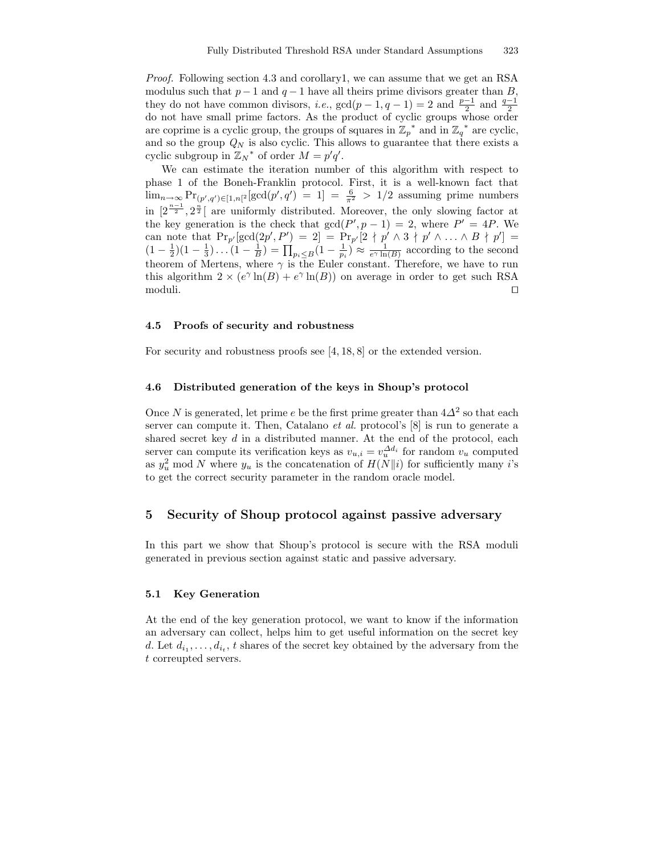Proof. Following section 4.3 and corollary1, we can assume that we get an RSA modulus such that  $p-1$  and  $q-1$  have all theirs prime divisors greater than B, they do not have common divisors, *i.e.*,  $gcd(p-1, q-1) = 2$  and  $\frac{p-1}{2}$  and  $\frac{q-1}{2}$ do not have small prime factors. As the product of cyclic groups whose order are coprime is a cyclic group, the groups of squares in  $\mathbb{Z}_p^*$  and in  $\mathbb{Z}_q^*$  are cyclic, and so the group  $Q_N$  is also cyclic. This allows to guarantee that there exists a cyclic subgroup in  $\mathbb{Z}_N^*$  of order  $M = p'q'$ .

We can estimate the iteration number of this algorithm with respect to phase 1 of the Boneh-Franklin protocol. First, it is a well-known fact that  $\lim_{n\to\infty} \Pr_{(p',q')\in[1,n]^2}[\gcd(p',q')] = 1$  =  $\frac{6}{\pi^2} > 1/2$  assuming prime numbers in  $[2^{\frac{n-1}{2}}, 2^{\frac{n}{2}}]$  are uniformly distributed. Moreover, the only slowing factor at the key generation is the check that  $gcd(P', p - 1) = 2$ , where  $P' = 4P$ . We can note that  $\Pr_{p'}[\gcd(2p', P') = 2] = \Pr_{p'}[2 \nmid p' \wedge 3 \nmid p' \wedge \ldots \wedge B \nmid p'] =$  $(1-\frac{1}{2})(1-\frac{1}{3})\ldots(1-\frac{1}{B})=\prod_{p_i\leq B}(1-\frac{1}{p_i})\approx \frac{1}{e^{\gamma}\ln(B)}$  according to the second theorem of Mertens, where  $\gamma$  is the Euler constant. Therefore, we have to run this algorithm  $2 \times (e^{\gamma} \ln(B) + e^{\gamma} \ln(B))$  on average in order to get such RSA  $\Box$  moduli.

#### 4.5 Proofs of security and robustness

For security and robustness proofs see [4, 18, 8] or the extended version.

#### 4.6 Distributed generation of the keys in Shoup's protocol

Once N is generated, let prime e be the first prime greater than  $4\Delta^2$  so that each server can compute it. Then, Catalano *et al.* protocol's [8] is run to generate a shared secret key  $d$  in a distributed manner. At the end of the protocol, each server can compute its verification keys as  $v_{u,i} = v_u^{\Delta d_i}$  for random  $v_u$  computed as  $y_u^2$  mod N where  $y_u$  is the concatenation of  $H(N||i)$  for sufficiently many i's to get the correct security parameter in the random oracle model.

# 5 Security of Shoup protocol against passive adversary

In this part we show that Shoup's protocol is secure with the RSA moduli generated in previous section against static and passive adversary.

#### 5.1 Key Generation

At the end of the key generation protocol, we want to know if the information an adversary can collect, helps him to get useful information on the secret key d. Let  $d_{i_1}, \ldots, d_{i_t}$ , t shares of the secret key obtained by the adversary from the t correupted servers.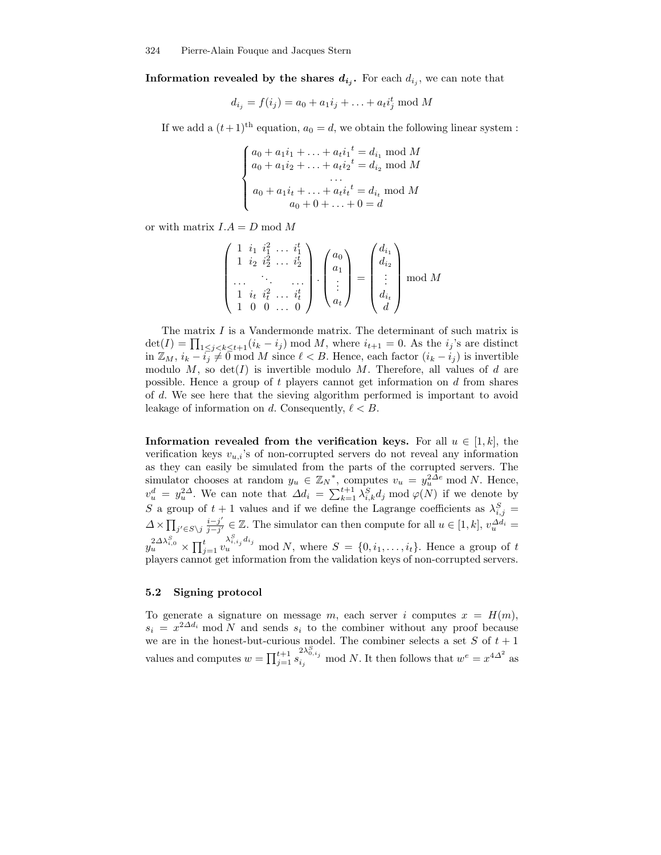Information revealed by the shares  $d_{i_j}$ . For each  $d_{i_j}$ , we can note that

$$
d_{i_j} = f(i_j) = a_0 + a_1 i_j + \ldots + a_t i_j^t \mod M
$$

If we add a  $(t+1)^{\text{th}}$  equation,  $a_0 = d$ , we obtain the following linear system :

$$
\begin{cases}\na_0 + a_1 i_1 + \dots + a_t i_1^t = d_{i_1} \text{ mod } M \\
a_0 + a_1 i_2 + \dots + a_t i_2^t = d_{i_2} \text{ mod } M \\
\dots \\
a_0 + a_1 i_t + \dots + a_t i_t^t = d_{i_t} \text{ mod } M \\
a_0 + 0 + \dots + 0 = d\n\end{cases}
$$

or with matrix  $I.A = D \text{ mod } M$ 

$$
\begin{pmatrix}\n1 & i_1 & i_1^2 & \dots & i_1^t \\
1 & i_2 & i_2^2 & \dots & i_2^t \\
\vdots & \vdots & \vdots & \ddots & \vdots \\
1 & i_t & i_t^2 & \dots & i_t^t \\
1 & 0 & 0 & \dots & 0\n\end{pmatrix}\n\cdot\n\begin{pmatrix}\na_0 \\
a_1 \\
\vdots \\
a_t\n\end{pmatrix}\n=\n\begin{pmatrix}\nd_{i_1} \\
d_{i_2} \\
\vdots \\
d_{i_t} \\
d\end{pmatrix}\n\mod M
$$

The matrix I is a Vandermonde matrix. The determinant of such matrix is  $\det(I) = \prod_{1 \leq j < k \leq t+1}(i_k - i_j) \mod M$ , where  $i_{t+1} = 0$ . As the  $i_j$ 's are distinct in  $\mathbb{Z}_M$ ,  $i_k - \overline{i_j} \neq 0$  mod M since  $\ell < B$ . Hence, each factor  $(i_k - i_j)$  is invertible modulo  $M$ , so  $det(I)$  is invertible modulo  $M$ . Therefore, all values of d are possible. Hence a group of t players cannot get information on d from shares of d. We see here that the sieving algorithm performed is important to avoid leakage of information on d. Consequently,  $\ell < B$ .

Information revealed from the verification keys. For all  $u \in [1, k]$ , the verification keys  $v_{u,i}$ 's of non-corrupted servers do not reveal any information as they can easily be simulated from the parts of the corrupted servers. The simulator chooses at random  $y_u \in \mathbb{Z}_N^*$ , computes  $v_u = y_u^{2\Delta e}$  mod N. Hence,  $v_u^d = y_u^{2\Delta}$ . We can note that  $\Delta d_i = \sum_{k=1}^{t+1} \lambda_{i,k}^S d_j \bmod \varphi(N)$  if we denote by S a group of  $t + 1$  values and if we define the Lagrange coefficients as  $\lambda_{i,j}^S =$  $\Delta \times \prod_{j' \in S \setminus j} \frac{i-j'}{j-j'}$  $\frac{i-j'}{j-j'} \in \mathbb{Z}$ . The simulator can then compute for all  $u \in [1, k]$ ,  $v_u^{\Delta d_i} =$  $y_u^{2\Delta\lambda_{i,0}^S}\times \prod_{j=1}^t v_u^{\lambda_{i,i_j}^S d_{i_j}}$  mod N, where  $S = \{0,i_1,\ldots,i_t\}$ . Hence a group of t players cannot get information from the validation keys of non-corrupted servers.

#### 5.2 Signing protocol

To generate a signature on message m, each server i computes  $x = H(m)$ ,  $s_i = x^{2\Delta d_i}$  mod N and sends  $s_i$  to the combiner without any proof because we are in the honest-but-curious model. The combiner selects a set S of  $t + 1$ values and computes  $w = \prod_{j=1}^{t+1} s_{i_j}^{2\lambda_{0,i_j}^S}$  mod N. It then follows that  $w^e = x^{4\Delta^2}$  as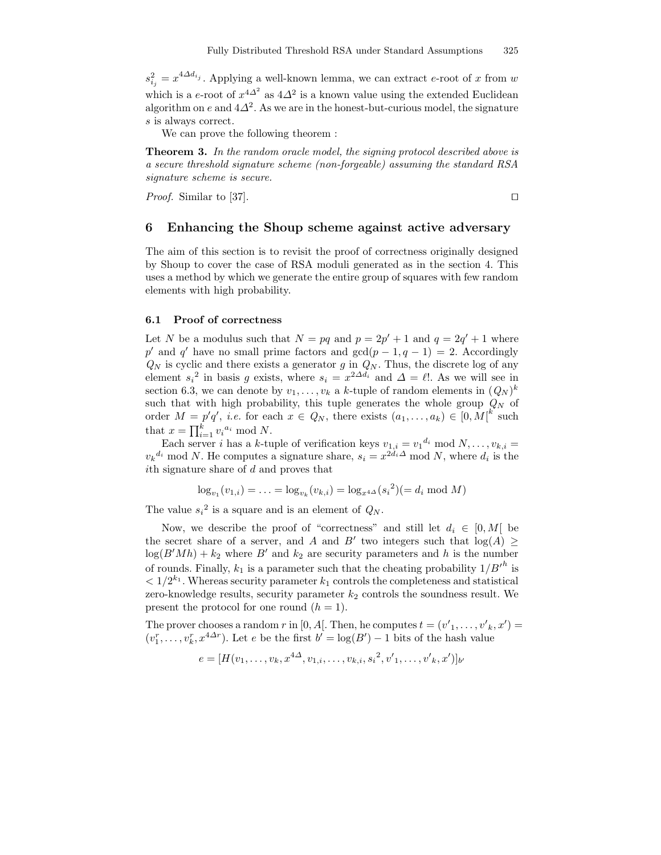$s_{i_j}^2 = x^{4\Delta d_{i_j}}$ . Applying a well-known lemma, we can extract e-root of x from w which is a e-root of  $x^{4\Delta^2}$  as  $4\Delta^2$  is a known value using the extended Euclidean algorithm on e and  $4\Delta^2$ . As we are in the honest-but-curious model, the signature s is always correct.

We can prove the following theorem :

Theorem 3. In the random oracle model, the signing protocol described above is a secure threshold signature scheme (non-forgeable) assuming the standard RSA signature scheme is secure.

*Proof.* Similar to [37].

# 6 Enhancing the Shoup scheme against active adversary

The aim of this section is to revisit the proof of correctness originally designed by Shoup to cover the case of RSA moduli generated as in the section 4. This uses a method by which we generate the entire group of squares with few random elements with high probability.

## 6.1 Proof of correctness

Let N be a modulus such that  $N = pq$  and  $p = 2p' + 1$  and  $q = 2q' + 1$  where p' and q' have no small prime factors and  $gcd(p-1, q-1) = 2$ . Accordingly  $Q_N$  is cyclic and there exists a generator g in  $Q_N$ . Thus, the discrete log of any element  $s_i^2$  in basis g exists, where  $s_i = x^{2\Delta d_i}$  and  $\Delta = \ell!$ . As we will see in section 6.3, we can denote by  $v_1, \ldots, v_k$  a k-tuple of random elements in  $(Q_N)^k$ such that with high probability, this tuple generates the whole group  $Q_N$  of order  $M = p'q'$ , *i.e.* for each  $x \in Q_N$ , there exists  $(a_1, \ldots, a_k) \in [0, M]^{k'}$  such that  $x = \prod_{i=1}^{k} v_i^{a_i} \mod N$ .

Each server *i* has a k-tuple of verification keys  $v_{1,i} = v_1^{d_i} \mod N, \ldots, v_{k,i} =$  $v_k^{d_i}$  mod N. He computes a signature share,  $s_i = x^{2d_i \Delta} \mod N$ , where  $d_i$  is the ith signature share of d and proves that

$$
\log_{v_1}(v_{1,i}) = \ldots = \log_{v_k}(v_{k,i}) = \log_{x^{4\Delta}}(s_i^2) (= d_i \mod M)
$$

The value  $s_i^2$  is a square and is an element of  $Q_N$ .

Now, we describe the proof of "correctness" and still let  $d_i \in [0, M]$  be the secret share of a server, and A and B' two integers such that  $log(A) \ge$  $log(B'Mh) + k_2$  where B' and  $k_2$  are security parameters and h is the number of rounds. Finally,  $k_1$  is a parameter such that the cheating probability  $1/B'^h$  is  $< 1/2^{k_1}$ . Whereas security parameter  $k_1$  controls the completeness and statistical zero-knowledge results, security parameter  $k_2$  controls the soundness result. We present the protocol for one round  $(h = 1)$ .

The prover chooses a random r in [0, A[. Then, he computes  $t = (v'_1, \ldots, v'_k, x') =$  $(v_1^r, \ldots, v_k^r, x^{4\Delta r})$ . Let e be the first  $b' = \log(B') - 1$  bits of the hash value

$$
e = [H(v_1, \ldots, v_k, x^{4\Delta}, v_{1,i}, \ldots, v_{k,i}, s_i^2, v'_{1}, \ldots, v'_{k}, x')]_{b'}
$$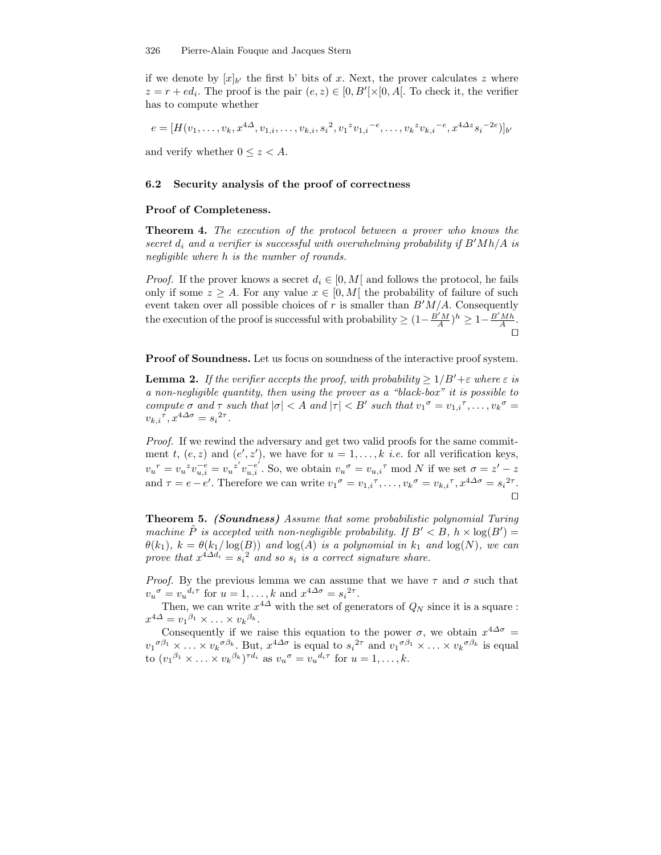if we denote by  $[x]_{b'}$  the first b' bits of x. Next, the prover calculates z where  $z = r + ed_i$ . The proof is the pair  $(e, z) \in [0, B'[\times[0, A])$ . To check it, the verifier has to compute whether

$$
e = [H(v_1, \dots, v_k, x^{4\Delta}, v_{1,i}, \dots, v_{k,i}, s_i^2, v_1^z v_{1,i}^{-e}, \dots, v_k^z v_{k,i}^{-e}, x^{4\Delta z} s_i^{-2e})]_{b'}
$$
  
and verify whether  $0 \le z < A$ .

#### 6.2 Security analysis of the proof of correctness

#### Proof of Completeness.

Theorem 4. The execution of the protocol between a prover who knows the secret  $d_i$  and a verifier is successful with overwhelming probability if  $B'Mh/A$  is negligible where h is the number of rounds.

*Proof.* If the prover knows a secret  $d_i \in [0, M]$  and follows the protocol, he fails only if some  $z > A$ . For any value  $x \in [0, M]$  the probability of failure of such event taken over all possible choices of r is smaller than  $B'M/A$ . Consequently the execution of the proof is successful with probability  $\geq (1 - \frac{B'M}{A})^h \geq 1 - \frac{B'Mh}{A}$ .  $\Box$ 

Proof of Soundness. Let us focus on soundness of the interactive proof system.

**Lemma 2.** If the verifier accepts the proof, with probability  $\geq 1/B'+\varepsilon$  where  $\varepsilon$  is a non-negligible quantity, then using the prover as a "black-box" it is possible to compute  $\sigma$  and  $\tau$  such that  $|\sigma| < A$  and  $|\tau| < B'$  such that  $v_1^{\sigma} = v_{1,i}^{\tau}, \ldots, v_k^{\sigma} =$  $v_{k,i}{}^{\tau}, x^{4\Delta\sigma} = s_i{}^{2\tau}.$ 

Proof. If we rewind the adversary and get two valid proofs for the same commitment t,  $(e, z)$  and  $(e', z')$ , we have for  $u = 1, \ldots, k$  *i.e.* for all verification keys,  $v_u{}^r = v_u{}^z v_{u,i}^{-e} = v_u{}^{z'} v_{u,i}^{-e'}$ . So, we obtain  $v_u{}^{\sigma} = v_{u,i}{}^{\tau}$  mod N if we set  $\sigma = z' - z$ and  $\tau = e - e'$ . Therefore we can write  $v_1^{\sigma} = v_{1,i}^{\tau}, \dots, v_k^{\sigma} = v_{k,i}^{\tau}, x^{4\Delta\sigma} = s_i^{2\tau}$ .  $\Box$ 

Theorem 5. (Soundness) Assume that some probabilistic polynomial Turing machine  $\tilde{P}$  is accepted with non-negligible probability. If  $B' < B$ ,  $h \times \log(B') =$  $\theta(k_1)$ ,  $k = \theta(k_1/\log(B))$  and  $\log(A)$  is a polynomial in  $k_1$  and  $\log(N)$ , we can prove that  $x^{4\Delta d_i} = s_i^2$  and so  $s_i$  is a correct signature share.

*Proof.* By the previous lemma we can assume that we have  $\tau$  and  $\sigma$  such that  $v_u^{\sigma} = v_u^{d_i \tau}$  for  $u = 1, \ldots, k$  and  $x^{4\Delta \sigma} = s_i^{2\tau}$ .

Then, we can write  $x^{4\Delta}$  with the set of generators of  $Q_N$  since it is a square :  $x^{4\Delta} = v_1^{\beta_1} \times \ldots \times v_k^{\beta_k}.$ 

Consequently if we raise this equation to the power  $\sigma$ , we obtain  $x^{4\Delta\sigma}$  =  $v_1^{\sigma\beta_1} \times \ldots \times v_k^{\sigma\beta_k}$ . But,  $x^{4\Delta\sigma}$  is equal to  $s_i^{2\tau}$  and  $v_1^{\sigma\beta_1} \times \ldots \times v_k^{\sigma\beta_k}$  is equal to  $(v_1^{\beta_1} \times \ldots \times v_k^{\beta_k})^{\tau d_i}$  as  $v_u^{\sigma} = v_u^{d_i \tau}$  for  $u = 1, \ldots, k$ .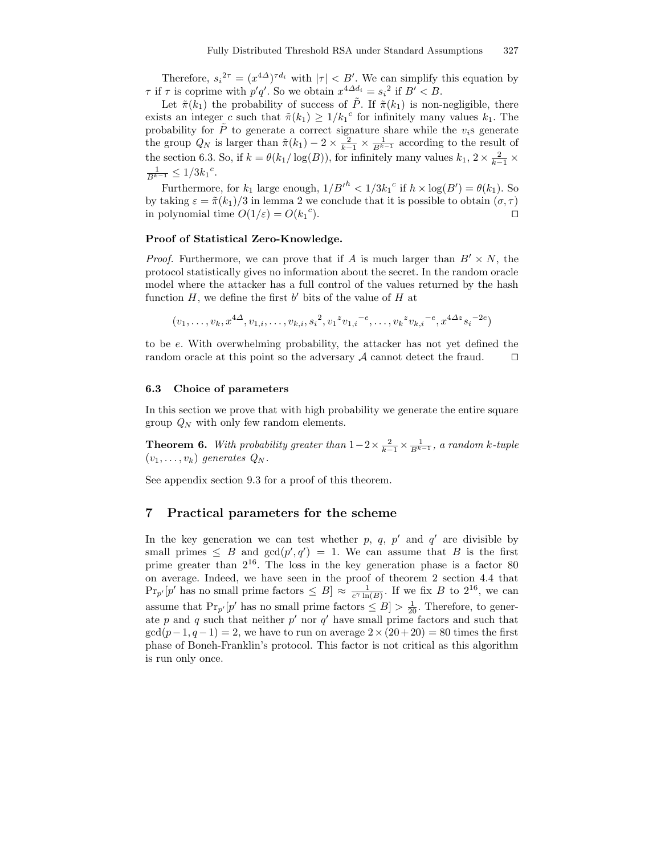Therefore,  $s_i^{2\tau} = (x^{4\Delta})^{\tau d_i}$  with  $|\tau| < B'$ . We can simplify this equation by  $\tau$  if  $\tau$  is coprime with  $p'q'$ . So we obtain  $x^{4\Delta d_i} = s_i^2$  if  $B' < B$ .

Let  $\tilde{\pi}(k_1)$  the probability of success of  $\tilde{P}$ . If  $\tilde{\pi}(k_1)$  is non-negligible, there exists an integer c such that  $\tilde{\pi}(k_1) \geq 1/k_1^c$  for infinitely many values  $k_1$ . The probability for  $\tilde{P}$  to generate a correct signature share while the  $v_i$ s generate the group  $Q_N$  is larger than  $\tilde{\pi}(k_1) - 2 \times \frac{2}{k-1} \times \frac{1}{B^{k-1}}$  according to the result of the section 6.3. So, if  $k = \theta(k_1/\log(B))$ , for infinitely many values  $k_1, 2 \times \frac{2}{k-1} \times$  $\frac{1}{B^{k-1}} \leq 1/3k_1^c$ .

Furthermore, for  $k_1$  large enough,  $1/B'^h < 1/3k_1^c$  if  $h \times \log(B') = \theta(k_1)$ . So by taking  $\varepsilon = \tilde{\pi}(k_1)/3$  in lemma 2 we conclude that it is possible to obtain  $(\sigma, \tau)$ in polynomial time  $O(1/\varepsilon) = O(k_1^{\text{c}})$ ).  $\qquad \qquad \Box$ 

#### Proof of Statistical Zero-Knowledge.

*Proof.* Furthermore, we can prove that if A is much larger than  $B' \times N$ , the protocol statistically gives no information about the secret. In the random oracle model where the attacker has a full control of the values returned by the hash function  $H$ , we define the first  $b'$  bits of the value of  $H$  at

$$
(v_1, \ldots, v_k, x^{4\Delta}, v_{1,i}, \ldots, v_{k,i}, s_i^2, v_1^2 v_{1,i}^{-e}, \ldots, v_k^2 v_{k,i}^{-e}, x^{4\Delta z} s_i^{-2e})
$$

to be e. With overwhelming probability, the attacker has not yet defined the random oracle at this point so the adversary  $A$  cannot detect the fraud.  $\square$ 

#### 6.3 Choice of parameters

In this section we prove that with high probability we generate the entire square group  $Q_N$  with only few random elements.

**Theorem 6.** With probability greater than  $1-2 \times \frac{2}{k-1} \times \frac{1}{B^{k-1}}$ , a random k-tuple  $(v_1, \ldots, v_k)$  generates  $Q_N$ .

See appendix section 9.3 for a proof of this theorem.

# 7 Practical parameters for the scheme

In the key generation we can test whether p, q, p' and  $q'$  are divisible by small primes  $\leq B$  and  $gcd(p', q') = 1$ . We can assume that B is the first prime greater than 2 16 . The loss in the key generation phase is a factor 80 on average. Indeed, we have seen in the proof of theorem 2 section 4.4 that  $\Pr_{p'}[p'$  has no small prime factors  $\leq B] \approx \frac{1}{e^{\gamma} \ln(B)}$ . If we fix B to  $2^{16}$ , we can assume that  $Pr_{p'}[p'$  has no small prime factors  $\leq B$   $> \frac{1}{20}$ . Therefore, to generate p and q such that neither  $p'$  nor  $q'$  have small prime factors and such that  $\gcd(p-1, q-1) = 2$ , we have to run on average  $2 \times (20+20) = 80$  times the first phase of Boneh-Franklin's protocol. This factor is not critical as this algorithm is run only once.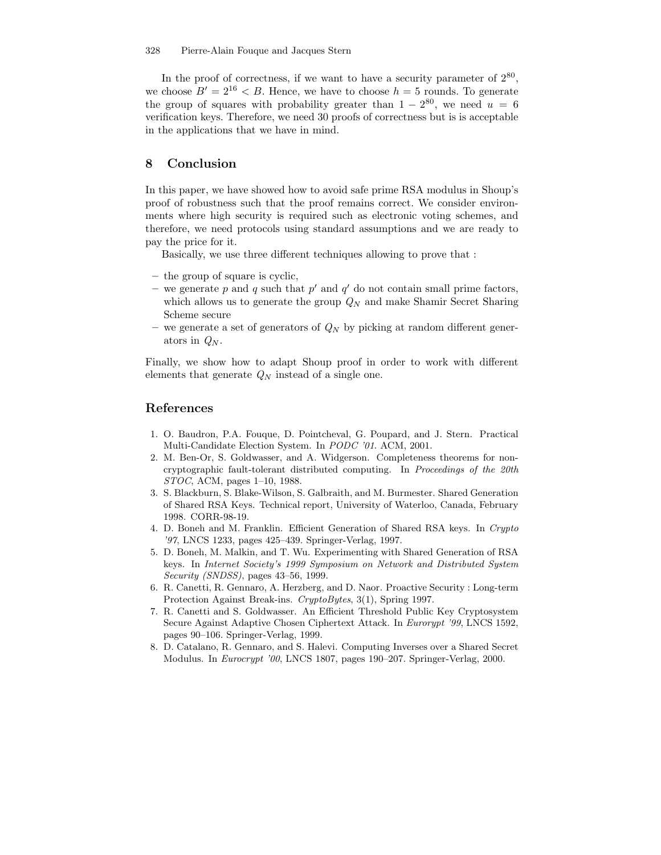In the proof of correctness, if we want to have a security parameter of  $2^{80}$ , we choose  $B' = 2^{16} < B$ . Hence, we have to choose  $h = 5$  rounds. To generate the group of squares with probability greater than  $1 - 2^{80}$ , we need  $u = 6$ verification keys. Therefore, we need 30 proofs of correctness but is is acceptable in the applications that we have in mind.

# 8 Conclusion

In this paper, we have showed how to avoid safe prime RSA modulus in Shoup's proof of robustness such that the proof remains correct. We consider environments where high security is required such as electronic voting schemes, and therefore, we need protocols using standard assumptions and we are ready to pay the price for it.

Basically, we use three different techniques allowing to prove that :

- the group of square is cyclic,
- we generate p and q such that  $p'$  and  $q'$  do not contain small prime factors, which allows us to generate the group  $Q_N$  and make Shamir Secret Sharing Scheme secure
- we generate a set of generators of  $Q_N$  by picking at random different generators in  $Q_N$ .

Finally, we show how to adapt Shoup proof in order to work with different elements that generate  $Q_N$  instead of a single one.

# References

- 1. O. Baudron, P.A. Fouque, D. Pointcheval, G. Poupard, and J. Stern. Practical Multi-Candidate Election System. In PODC '01. ACM, 2001.
- 2. M. Ben-Or, S. Goldwasser, and A. Widgerson. Completeness theorems for noncryptographic fault-tolerant distributed computing. In Proceedings of the 20th STOC, ACM, pages 1–10, 1988.
- 3. S. Blackburn, S. Blake-Wilson, S. Galbraith, and M. Burmester. Shared Generation of Shared RSA Keys. Technical report, University of Waterloo, Canada, February 1998. CORR-98-19.
- 4. D. Boneh and M. Franklin. Efficient Generation of Shared RSA keys. In Crypto '97, LNCS 1233, pages 425–439. Springer-Verlag, 1997.
- 5. D. Boneh, M. Malkin, and T. Wu. Experimenting with Shared Generation of RSA keys. In Internet Society's 1999 Symposium on Network and Distributed System Security (SNDSS), pages 43–56, 1999.
- 6. R. Canetti, R. Gennaro, A. Herzberg, and D. Naor. Proactive Security : Long-term Protection Against Break-ins. CryptoBytes, 3(1), Spring 1997.
- 7. R. Canetti and S. Goldwasser. An Efficient Threshold Public Key Cryptosystem Secure Against Adaptive Chosen Ciphertext Attack. In Eurorypt '99, LNCS 1592, pages 90–106. Springer-Verlag, 1999.
- 8. D. Catalano, R. Gennaro, and S. Halevi. Computing Inverses over a Shared Secret Modulus. In Eurocrypt '00, LNCS 1807, pages 190–207. Springer-Verlag, 2000.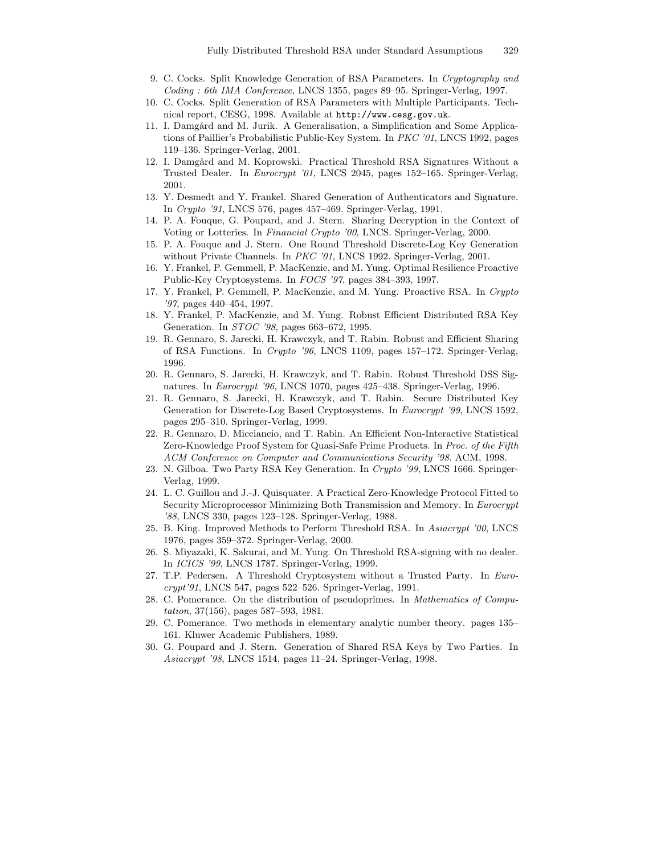- 9. C. Cocks. Split Knowledge Generation of RSA Parameters. In Cryptography and Coding : 6th IMA Conference, LNCS 1355, pages 89–95. Springer-Verlag, 1997.
- 10. C. Cocks. Split Generation of RSA Parameters with Multiple Participants. Technical report, CESG, 1998. Available at http://www.cesg.gov.uk.
- 11. I. Damgård and M. Jurik. A Generalisation, a Simplification and Some Applications of Paillier's Probabilistic Public-Key System. In PKC '01, LNCS 1992, pages 119–136. Springer-Verlag, 2001.
- 12. I. Damgård and M. Koprowski. Practical Threshold RSA Signatures Without a Trusted Dealer. In Eurocrypt '01, LNCS 2045, pages 152–165. Springer-Verlag, 2001.
- 13. Y. Desmedt and Y. Frankel. Shared Generation of Authenticators and Signature. In Crypto '91, LNCS 576, pages 457–469. Springer-Verlag, 1991.
- 14. P. A. Fouque, G. Poupard, and J. Stern. Sharing Decryption in the Context of Voting or Lotteries. In Financial Crypto '00, LNCS. Springer-Verlag, 2000.
- 15. P. A. Fouque and J. Stern. One Round Threshold Discrete-Log Key Generation without Private Channels. In PKC '01, LNCS 1992. Springer-Verlag, 2001.
- 16. Y. Frankel, P. Gemmell, P. MacKenzie, and M. Yung. Optimal Resilience Proactive Public-Key Cryptosystems. In FOCS '97, pages 384–393, 1997.
- 17. Y. Frankel, P. Gemmell, P. MacKenzie, and M. Yung. Proactive RSA. In Crypto '97, pages 440–454, 1997.
- 18. Y. Frankel, P. MacKenzie, and M. Yung. Robust Efficient Distributed RSA Key Generation. In STOC '98, pages 663–672, 1995.
- 19. R. Gennaro, S. Jarecki, H. Krawczyk, and T. Rabin. Robust and Efficient Sharing of RSA Functions. In Crypto '96, LNCS 1109, pages 157–172. Springer-Verlag, 1996.
- 20. R. Gennaro, S. Jarecki, H. Krawczyk, and T. Rabin. Robust Threshold DSS Signatures. In Eurocrypt '96, LNCS 1070, pages 425–438. Springer-Verlag, 1996.
- 21. R. Gennaro, S. Jarecki, H. Krawczyk, and T. Rabin. Secure Distributed Key Generation for Discrete-Log Based Cryptosystems. In Eurocrypt '99, LNCS 1592, pages 295–310. Springer-Verlag, 1999.
- 22. R. Gennaro, D. Micciancio, and T. Rabin. An Efficient Non-Interactive Statistical Zero-Knowledge Proof System for Quasi-Safe Prime Products. In Proc. of the Fifth ACM Conference on Computer and Communications Security '98. ACM, 1998.
- 23. N. Gilboa. Two Party RSA Key Generation. In Crypto '99, LNCS 1666. Springer-Verlag, 1999.
- 24. L. C. Guillou and J.-J. Quisquater. A Practical Zero-Knowledge Protocol Fitted to Security Microprocessor Minimizing Both Transmission and Memory. In Eurocrypt '88, LNCS 330, pages 123–128. Springer-Verlag, 1988.
- 25. B. King. Improved Methods to Perform Threshold RSA. In Asiacrypt '00, LNCS 1976, pages 359–372. Springer-Verlag, 2000.
- 26. S. Miyazaki, K. Sakurai, and M. Yung. On Threshold RSA-signing with no dealer. In ICICS '99, LNCS 1787. Springer-Verlag, 1999.
- 27. T.P. Pedersen. A Threshold Cryptosystem without a Trusted Party. In Eurocrypt'91, LNCS 547, pages 522–526. Springer-Verlag, 1991.
- 28. C. Pomerance. On the distribution of pseudoprimes. In Mathematics of Computation, 37(156), pages 587–593, 1981.
- 29. C. Pomerance. Two methods in elementary analytic number theory. pages 135– 161. Kluwer Academic Publishers, 1989.
- 30. G. Poupard and J. Stern. Generation of Shared RSA Keys by Two Parties. In Asiacrypt '98, LNCS 1514, pages 11–24. Springer-Verlag, 1998.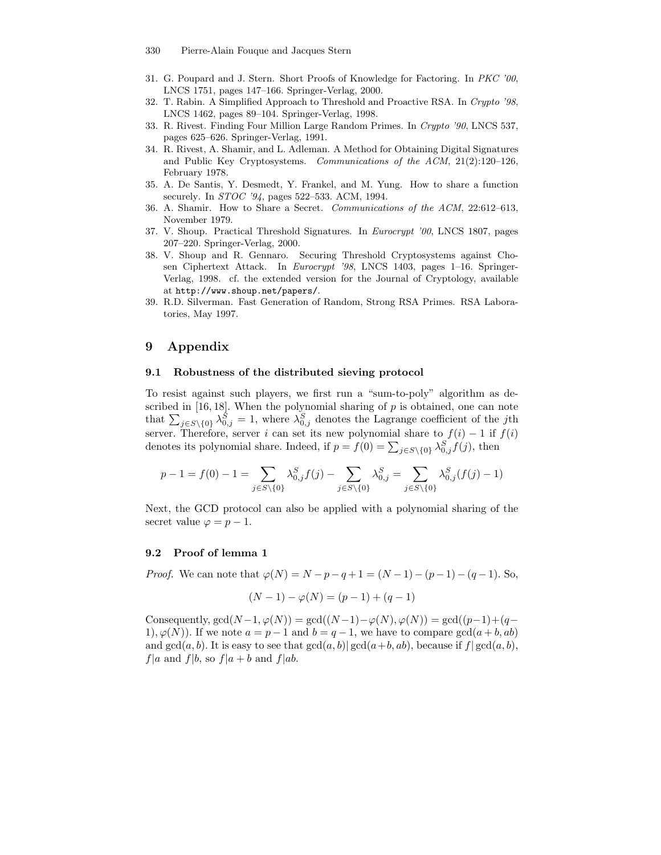- 330 Pierre-Alain Fouque and Jacques Stern
- 31. G. Poupard and J. Stern. Short Proofs of Knowledge for Factoring. In PKC '00, LNCS 1751, pages 147–166. Springer-Verlag, 2000.
- 32. T. Rabin. A Simplified Approach to Threshold and Proactive RSA. In Crypto '98, LNCS 1462, pages 89–104. Springer-Verlag, 1998.
- 33. R. Rivest. Finding Four Million Large Random Primes. In Crypto '90, LNCS 537, pages 625–626. Springer-Verlag, 1991.
- 34. R. Rivest, A. Shamir, and L. Adleman. A Method for Obtaining Digital Signatures and Public Key Cryptosystems. Communications of the ACM, 21(2):120–126, February 1978.
- 35. A. De Santis, Y. Desmedt, Y. Frankel, and M. Yung. How to share a function securely. In STOC '94, pages 522–533. ACM, 1994.
- 36. A. Shamir. How to Share a Secret. Communications of the ACM, 22:612–613, November 1979.
- 37. V. Shoup. Practical Threshold Signatures. In Eurocrypt '00, LNCS 1807, pages 207–220. Springer-Verlag, 2000.
- 38. V. Shoup and R. Gennaro. Securing Threshold Cryptosystems against Chosen Ciphertext Attack. In Eurocrypt '98, LNCS 1403, pages 1–16. Springer-Verlag, 1998. cf. the extended version for the Journal of Cryptology, available at http://www.shoup.net/papers/.
- 39. R.D. Silverman. Fast Generation of Random, Strong RSA Primes. RSA Laboratories, May 1997.

# 9 Appendix

#### 9.1 Robustness of the distributed sieving protocol

To resist against such players, we first run a "sum-to-poly" algorithm as described in  $[16, 18]$ . When the polynomial sharing of  $p$  is obtained, one can note that  $\sum_{j \in S \setminus \{0\}} \lambda_{0,j}^S = 1$ , where  $\lambda_{0,j}^S$  denotes the Lagrange coefficient of the jth server. Therefore, server i can set its new polynomial share to  $f(i) - 1$  if  $f(i)$ denotes its polynomial share. Indeed, if  $p = f(0) = \sum_{j \in S \setminus \{0\}} \lambda_{0,j}^S f(j)$ , then

$$
p - 1 = f(0) - 1 = \sum_{j \in S \setminus \{0\}} \lambda_{0,j}^S f(j) - \sum_{j \in S \setminus \{0\}} \lambda_{0,j}^S = \sum_{j \in S \setminus \{0\}} \lambda_{0,j}^S (f(j) - 1)
$$

Next, the GCD protocol can also be applied with a polynomial sharing of the secret value  $\varphi = p - 1$ .

#### 9.2 Proof of lemma 1

*Proof.* We can note that  $\varphi(N) = N - p - q + 1 = (N - 1) - (p - 1) - (q - 1)$ . So,

$$
(N-1) - \varphi(N) = (p-1) + (q-1)
$$

Consequently,  $gcd(N-1, \varphi(N)) = gcd((N-1)-\varphi(N), \varphi(N)) = gcd((p-1)+(q-1)$ 1),  $\varphi(N)$ ). If we note  $a = p - 1$  and  $b = q - 1$ , we have to compare  $gcd(a + b, ab)$ and  $gcd(a, b)$ . It is easy to see that  $gcd(a, b) | gcd(a + b, ab)$ , because if  $f | gcd(a, b)$ ,  $f|a$  and  $f|b$ , so  $f|a + b$  and  $f|ab$ .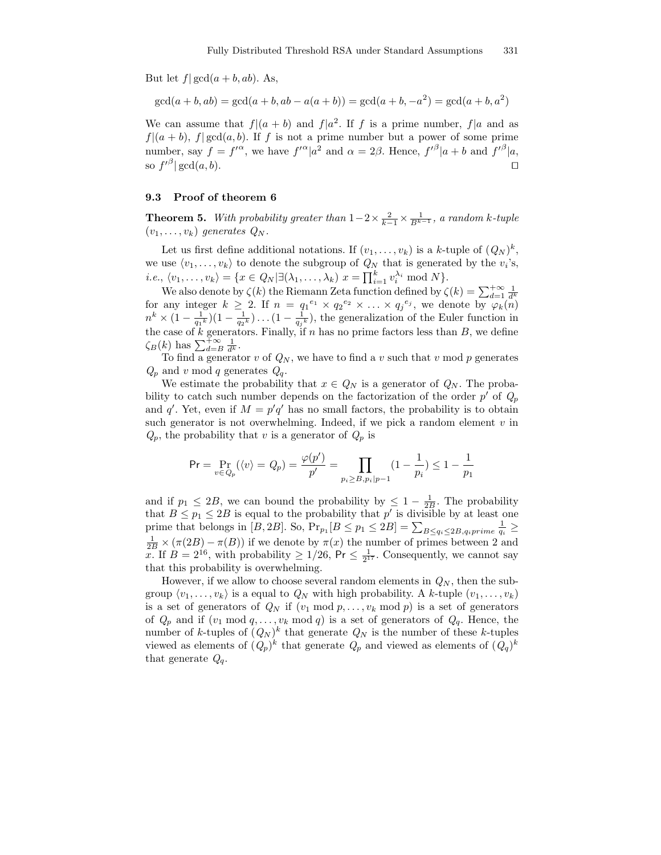But let  $f| \gcd(a + b, ab)$ . As,

$$
gcd(a + b, ab) = gcd(a + b, ab - a(a + b)) = gcd(a + b, -a2) = gcd(a + b, a2)
$$

We can assume that  $f|(a + b)$  and  $f|a^2$ . If f is a prime number,  $f|a$  and as  $f|(a + b)$ ,  $f| gcd(a, b)$ . If f is not a prime number but a power of some prime number, say  $f = f^{\prime \alpha}$ , we have  $f^{\prime \alpha} |a^2$  and  $\alpha = 2\beta$ . Hence,  $f^{\prime \beta} |a+b$  and  $f^{\prime \beta} |a$ , so  $f'^{\beta}$  gcd $(a, b)$ .

#### 9.3 Proof of theorem 6

**Theorem 5.** With probability greater than  $1-2 \times \frac{2}{k-1} \times \frac{1}{B^{k-1}}$ , a random k-tuple  $(v_1, \ldots, v_k)$  generates  $Q_N$ .

Let us first define additional notations. If  $(v_1, \ldots, v_k)$  is a k-tuple of  $(Q_N)^k$ , we use  $\langle v_1, \ldots, v_k \rangle$  to denote the subgroup of  $Q_N$  that is generated by the  $v_i$ 's, *i.e.*,  $\langle v_1, \ldots, v_k \rangle = \{ x \in Q_N | \exists (\lambda_1, \ldots, \lambda_k) \ x = \prod_{i=1}^k v_i^{\lambda_i} \text{ mod } N \}.$ 

We also denote by  $\zeta(k)$  the Riemann Zeta function defined by  $\zeta(k) = \sum_{d=1}^{+\infty} \frac{1}{d_k^k}$ for any integer  $k \geq 2$ . If  $n = q_1^{e_1} \times q_2^{e_2} \times \ldots \times q_j^{e_j}$ , we denote by  $\varphi_k(n)$  $n^k \times (1 - \frac{1}{q_1 k})(1 - \frac{1}{q_2 k}) \dots (1 - \frac{1}{q_j k})$ , the generalization of the Euler function in the case of k generators. Finally, if  $n$  has no prime factors less than  $B$ , we define  $\zeta_B(k)$  has  $\sum_{d=B}^{+\infty} \frac{1}{d^k}$ .

To find a generator  $v$  of  $Q_N$ , we have to find a  $v$  such that  $v \mod p$  generates  $Q_p$  and v mod q generates  $Q_q$ .

We estimate the probability that  $x \in Q_N$  is a generator of  $Q_N$ . The probability to catch such number depends on the factorization of the order  $p'$  of  $Q_p$ and q'. Yet, even if  $M = p'q'$  has no small factors, the probability is to obtain such generator is not overwhelming. Indeed, if we pick a random element  $v$  in  $Q_p$ , the probability that v is a generator of  $Q_p$  is

$$
\Pr = \Pr_{v \in Q_p} (\langle v \rangle = Q_p) = \frac{\varphi(p')}{p'} = \prod_{p_i \ge B, p_i | p-1} (1 - \frac{1}{p_i}) \le 1 - \frac{1}{p_1}
$$

and if  $p_1 \leq 2B$ , we can bound the probability by  $\leq 1 - \frac{1}{2B}$ . The probability that  $B \leq p_1 \leq 2B$  is equal to the probability that  $p'$  is divisible by at least one prime that belongs in  $[B, 2B]$ . So,  $Pr_{p_1}[B \leq p_1 \leq 2B] = \sum_{B \leq q_i \leq 2B, q_i prime} \frac{1}{q_i} \geq$  $\frac{1}{2B} \times (\pi(2B) - \pi(B))$  if we denote by  $\pi(x)$  the number of primes between 2 and x. If  $B = 2^{16}$ , with probability  $\geq 1/26$ ,  $\Pr \leq \frac{1}{2^{17}}$ . Consequently, we cannot say that this probability is overwhelming.

However, if we allow to choose several random elements in  $Q_N$ , then the subgroup  $\langle v_1, \ldots, v_k \rangle$  is a equal to  $Q_N$  with high probability. A k-tuple  $(v_1, \ldots, v_k)$ is a set of generators of  $Q_N$  if  $(v_1 \mod p, \ldots, v_k \mod p)$  is a set of generators of  $Q_p$  and if  $(v_1 \mod q, \ldots, v_k \mod q)$  is a set of generators of  $Q_q$ . Hence, the number of k-tuples of  $(Q_N)^k$  that generate  $Q_N$  is the number of these k-tuples viewed as elements of  $(Q_p)^k$  that generate  $Q_p$  and viewed as elements of  $(Q_q)^k$ that generate  $Q_q$ .